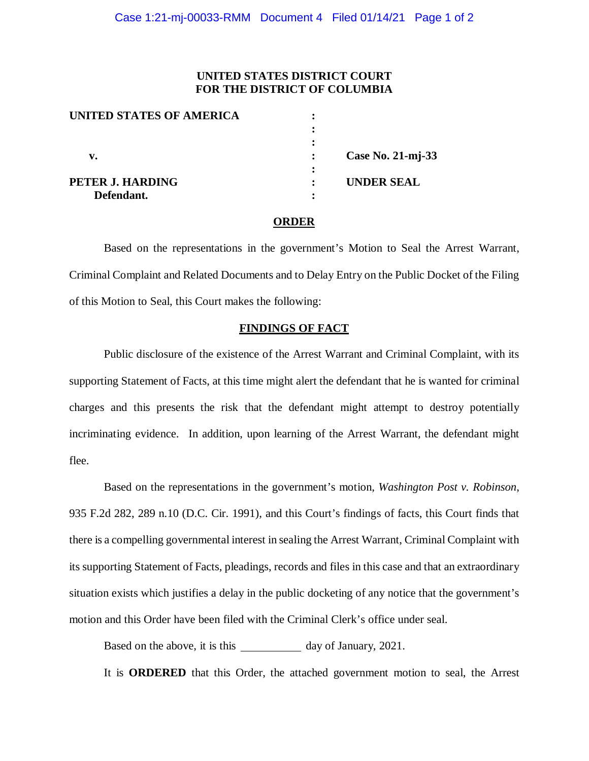## **UNITED STATES DISTRICT COURT FOR THE DISTRICT OF COLUMBIA**

| UNITED STATES OF AMERICA |                   |
|--------------------------|-------------------|
|                          |                   |
|                          |                   |
| v.                       | Case No. 21-mj-33 |
|                          |                   |
| PETER J. HARDING         | <b>UNDER SEAL</b> |
| Defendant.               |                   |

## **ORDER**

Based on the representations in the government's Motion to Seal the Arrest Warrant, Criminal Complaint and Related Documents and to Delay Entry on the Public Docket of the Filing of this Motion to Seal, this Court makes the following:

## **FINDINGS OF FACT**

Public disclosure of the existence of the Arrest Warrant and Criminal Complaint, with its supporting Statement of Facts, at this time might alert the defendant that he is wanted for criminal charges and this presents the risk that the defendant might attempt to destroy potentially incriminating evidence. In addition, upon learning of the Arrest Warrant, the defendant might flee.

Based on the representations in the government's motion, *Washington Post v. Robinson*, 935 F.2d 282, 289 n.10 (D.C. Cir. 1991), and this Court's findings of facts, this Court finds that there is a compelling governmental interest in sealing the Arrest Warrant, Criminal Complaint with its supporting Statement of Facts, pleadings, records and files in this case and that an extraordinary situation exists which justifies a delay in the public docketing of any notice that the government's motion and this Order have been filed with the Criminal Clerk's office under seal.

Based on the above, it is this day of January, 2021.

It is **ORDERED** that this Order, the attached government motion to seal, the Arrest